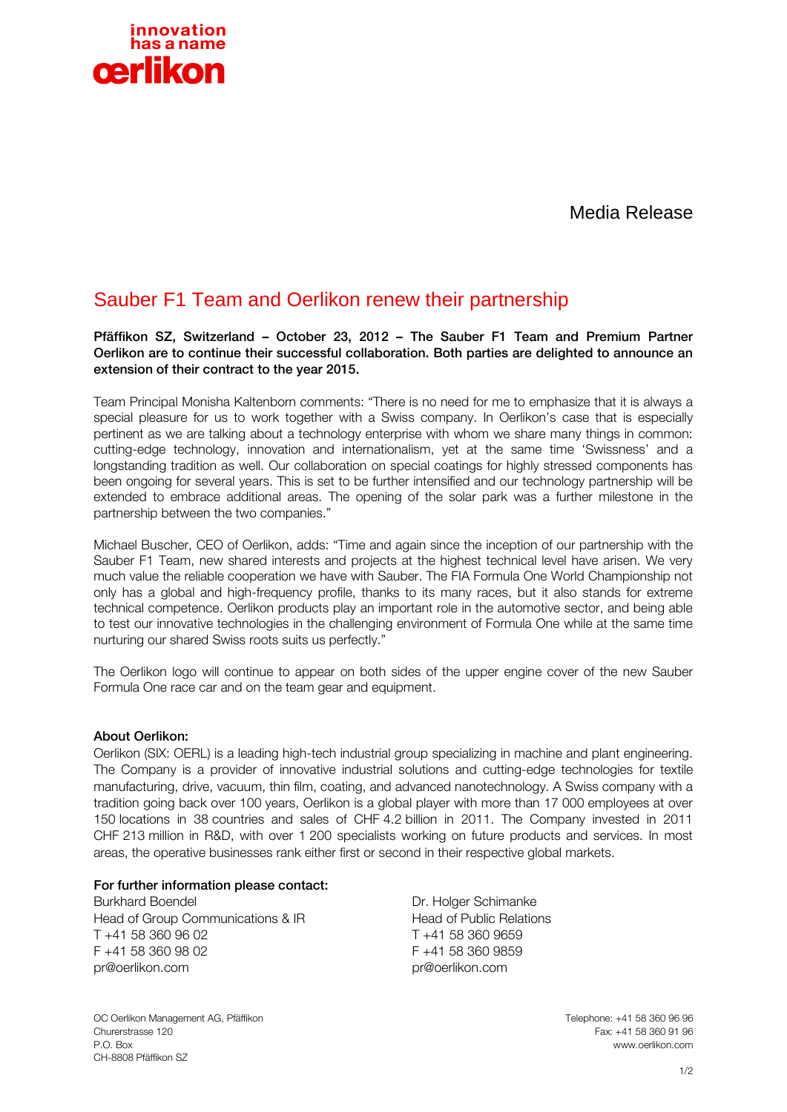

Media Release

## Sauber F1 Team and Oerlikon renew their partnership

Pfäffikon SZ, Switzerland – October 23, 2012 – The Sauber F1 Team and Premium Partner Oerlikon are to continue their successful collaboration. Both parties are delighted to announce an extension of their contract to the year 2015.

Team Principal Monisha Kaltenborn comments: "There is no need for me to emphasize that it is always a special pleasure for us to work together with a Swiss company. In Oerlikon's case that is especially pertinent as we are talking about a technology enterprise with whom we share many things in common: cutting-edge technology, innovation and internationalism, yet at the same time 'Swissness' and a longstanding tradition as well. Our collaboration on special coatings for highly stressed components has been ongoing for several years. This is set to be further intensified and our technology partnership will be extended to embrace additional areas. The opening of the solar park was a further milestone in the partnership between the two companies."

Michael Buscher, CEO of Oerlikon, adds: "Time and again since the inception of our partnership with the Sauber F1 Team, new shared interests and projects at the highest technical level have arisen. We very much value the reliable cooperation we have with Sauber. The FIA Formula One World Championship not only has a global and high-frequency profile, thanks to its many races, but it also stands for extreme technical competence. Oerlikon products play an important role in the automotive sector, and being able to test our innovative technologies in the challenging environment of Formula One while at the same time nurturing our shared Swiss roots suits us perfectly."

The Oerlikon logo will continue to appear on both sides of the upper engine cover of the new Sauber Formula One race car and on the team gear and equipment.

## About Oerlikon:

Oerlikon (SIX: OERL) is a leading high-tech industrial group specializing in machine and plant engineering. The Company is a provider of innovative industrial solutions and cutting-edge technologies for textile manufacturing, drive, vacuum, thin film, coating, and advanced nanotechnology. A Swiss company with a tradition going back over 100 years, Oerlikon is a global player with more than 17 000 employees at over 150 locations in 38 countries and sales of CHF 4.2 billion in 2011. The Company invested in 2011 CHF 213 million in R&D, with over 1 200 specialists working on future products and services. In most areas, the operative businesses rank either first or second in their respective global markets.

## For further information please contact:

Burkhard Boendel Head of Group Communications & IR T +41 58 360 96 02 F +41 58 360 98 02 pr@oerlikon.com

Dr. Holger Schimanke Head of Public Relations T +41 58 360 9659 F +41 58 360 9859 pr@oerlikon.com

OC Oerlikon Management AG, Pfäffikon Telephone: +41 58 360 96 96 Churerstrasse 120 Fax: +41 58 360 91 96 P.O. Box www.oerlikon.com CH-8808 Pfäffikon SZ